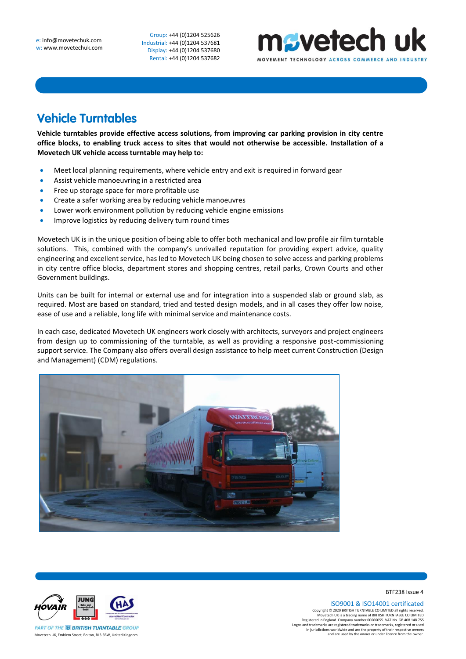Group: +44 (0)1204 525626 Industrial: +44 (0)1204 537681 Display: +44 (0)1204 537680 Rental: +44 (0)1204 537682



## **Vehicle Turntables**

**Vehicle turntables provide effective access solutions, from improving car parking provision in city centre office blocks, to enabling truck access to sites that would not otherwise be accessible. Installation of a Movetech UK vehicle access turntable may help to:**

- Meet local planning requirements, where vehicle entry and exit is required in forward gear
- Assist vehicle manoeuvring in a restricted area
- Free up storage space for more profitable use
- Create a safer working area by reducing vehicle manoeuvres
- Lower work environment pollution by reducing vehicle engine emissions
- Improve logistics by reducing delivery turn round times

Movetech UK is in the unique position of being able to offer both mechanical and low profile air film turntable solutions. This, combined with the company's unrivalled reputation for providing expert advice, quality engineering and excellent service, has led to Movetech UK being chosen to solve access and parking problems in city centre office blocks, department stores and shopping centres, retail parks, Crown Courts and other Government buildings.

Units can be built for internal or external use and for integration into a suspended slab or ground slab, as required. Most are based on standard, tried and tested design models, and in all cases they offer low noise, ease of use and a reliable, long life with minimal service and maintenance costs.

In each case, dedicated Movetech UK engineers work closely with architects, surveyors and project engineers from design up to commissioning of the turntable, as well as providing a responsive post-commissioning support service. The Company also offers overall design assistance to help meet current Construction (Design and Management) (CDM) regulations.





BTF238 Issue 4

ISO9001 & ISO14001 certificated

Copyright © 2020 BRITISH TURNTABLE CO LIMITED all rights reserved.<br>Movetech UK is a trading name of BRITISH TURNTABLE CO LIMITED<br>Registered in England. Company number 00666055. VAT No. GB 408 148 755<br>Logos and trademarks a